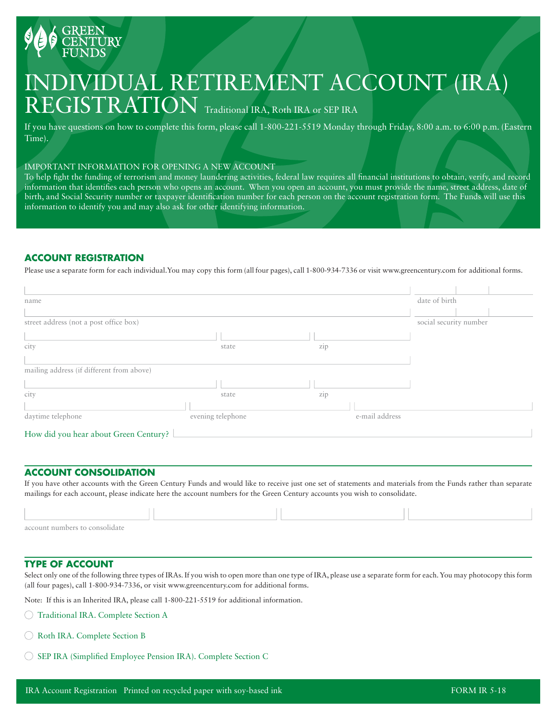

# INDIVIDUAL RETIREMENT ACCOUNT (IRA) REGISTRATION Traditional IRA, Roth IRA or SEP IRA

If you have questions on how to complete this form, please call 1-800-221-5519 Monday through Friday, 8:00 a.m. to 6:00 p.m. (Eastern Time).

#### IMPORTANT INFORMATION FOR OPENING A NEW ACCOUNT

To help fight the funding of terrorism and money laundering activities, federal law requires all financial institutions to obtain, verify, and record information that identifies each person who opens an account. When you open an account, you must provide the name, street address, date of birth, and Social Security number or taxpayer identification number for each person on the account registration form. The Funds will use this information to identify you and may also ask for other identifying information.

## **ACCOUNT REGISTRATION**

Please use a separate form for each individual.You may copy this form (all four pages), call 1-800-934-7336 or visit www.greencentury.com for additional forms.

| name                                      |                        |                | date of birth |
|-------------------------------------------|------------------------|----------------|---------------|
|                                           |                        |                |               |
| street address (not a post office box)    | social security number |                |               |
|                                           |                        |                |               |
| city                                      | state                  | zip            |               |
|                                           |                        |                |               |
| mailing address (if different from above) |                        |                |               |
|                                           |                        |                |               |
| city                                      | state                  | zip            |               |
|                                           |                        |                |               |
| daytime telephone                         | evening telephone      | e-mail address |               |
| How did you hear about Green Century?     |                        |                |               |

## **ACCOUNT CONSOLIDATION**

If you have other accounts with the Green Century Funds and would like to receive just one set of statements and materials from the Funds rather than separate mailings for each account, please indicate here the account numbers for the Green Century accounts you wish to consolidate.

| account numbers to consolidate |  |  |
|--------------------------------|--|--|

## **TYPE OF ACCOUNT**

Select only one of the following three types of IRAs. If you wish to open more than one type of IRA, please use a separate form for each. You may photocopy this form (all four pages), call 1-800-934-7336, or visit www.greencentury.com for additional forms.

Note: If this is an Inherited IRA, please call 1-800-221-5519 for additional information.

- Traditional IRA. Complete Section A
- Roth IRA. Complete Section B
- SEP IRA (Simplified Employee Pension IRA). Complete Section C